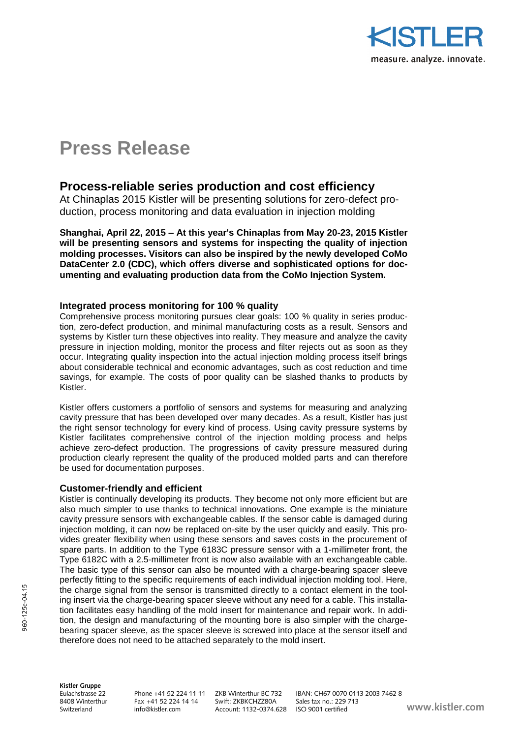

# **Press Release**

# **Process-reliable series production and cost efficiency**

At Chinaplas 2015 Kistler will be presenting solutions for zero-defect production, process monitoring and data evaluation in injection molding

**Shanghai, April 22, 2015 – At this year's Chinaplas from May 20-23, 2015 Kistler will be presenting sensors and systems for inspecting the quality of injection molding processes. Visitors can also be inspired by the newly developed CoMo DataCenter 2.0 (CDC), which offers diverse and sophisticated options for documenting and evaluating production data from the CoMo Injection System.**

# **Integrated process monitoring for 100 % quality**

Comprehensive process monitoring pursues clear goals: 100 % quality in series production, zero-defect production, and minimal manufacturing costs as a result. Sensors and systems by Kistler turn these objectives into reality. They measure and analyze the cavity pressure in injection molding, monitor the process and filter rejects out as soon as they occur. Integrating quality inspection into the actual injection molding process itself brings about considerable technical and economic advantages, such as cost reduction and time savings, for example. The costs of poor quality can be slashed thanks to products by Kistler.

Kistler offers customers a portfolio of sensors and systems for measuring and analyzing cavity pressure that has been developed over many decades. As a result, Kistler has just the right sensor technology for every kind of process. Using cavity pressure systems by Kistler facilitates comprehensive control of the injection molding process and helps achieve zero-defect production. The progressions of cavity pressure measured during production clearly represent the quality of the produced molded parts and can therefore be used for documentation purposes.

# **Customer-friendly and efficient**

Kistler is continually developing its products. They become not only more efficient but are also much simpler to use thanks to technical innovations. One example is the miniature cavity pressure sensors with exchangeable cables. If the sensor cable is damaged during injection molding, it can now be replaced on-site by the user quickly and easily. This provides greater flexibility when using these sensors and saves costs in the procurement of spare parts. In addition to the Type 6183C pressure sensor with a 1-millimeter front, the Type 6182C with a 2.5-millimeter front is now also available with an exchangeable cable. The basic type of this sensor can also be mounted with a charge-bearing spacer sleeve perfectly fitting to the specific requirements of each individual injection molding tool. Here, the charge signal from the sensor is transmitted directly to a contact element in the tooling insert via the charge-bearing spacer sleeve without any need for a cable. This installation facilitates easy handling of the mold insert for maintenance and repair work. In addition, the design and manufacturing of the mounting bore is also simpler with the chargebearing spacer sleeve, as the spacer sleeve is screwed into place at the sensor itself and therefore does not need to be attached separately to the mold insert.

**Kistler Gruppe**

840 Fax +41 52 224 14 14<br>info@kistler.com

Eulachstrasse 22 Phone +41 52 224 11 11 ZKB Winterthur BC 732 IBAN: CH67 0070 0113 2003 7462 8<br>8408 Winterthur Fax +41 52 224 14 14 Swift: ZKBKCHZZ80A Sales tax no.: 229 713 Switzerland info@kistler.com Account: 1132-0374.628 ISO 9001 certified **www.kistler.com**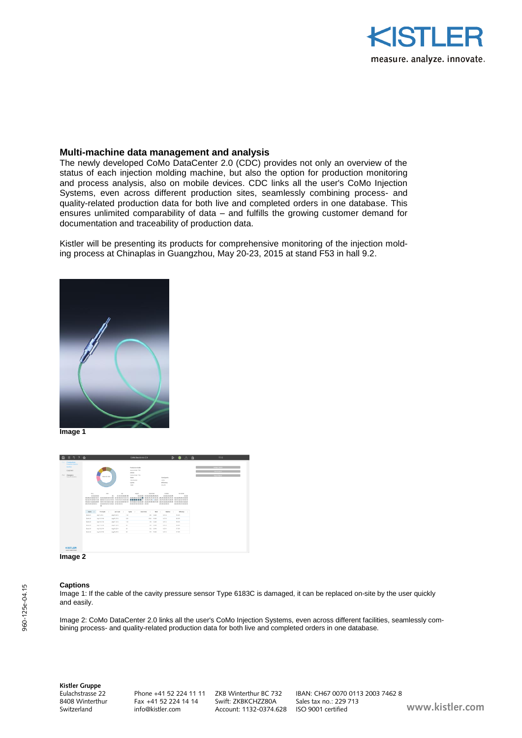

### **Multi-machine data management and analysis**

The newly developed CoMo DataCenter 2.0 (CDC) provides not only an overview of the status of each injection molding machine, but also the option for production monitoring and process analysis, also on mobile devices. CDC links all the user's CoMo Injection Systems, even across different production sites, seamlessly combining process- and quality-related production data for both live and completed orders in one database. This ensures unlimited comparability of data – and fulfills the growing customer demand for documentation and traceability of production data.

Kistler will be presenting its products for comprehensive monitoring of the injection molding process at Chinaplas in Guangzhou, May 20-23, 2015 at stand F53 in hall 9.2.



**Image 1**



#### **Image 2**

#### **Captions**

Image 1: If the cable of the cavity pressure sensor Type 6183C is damaged, it can be replaced on-site by the user quickly and easily.

Image 2: CoMo DataCenter 2.0 links all the user's CoMo Injection Systems, even across different facilities, seamlessly combining process- and quality-related production data for both live and completed orders in one database.

**Kistler Gruppe**

840 Fax +41 52 224 14 14<br>info@kistler.com

Eulachstrasse 22 Phone +41 52 224 11 11 ZKB Winterthur BC 732 IBAN: CH67 0070 0113 2003 7462 8 Switzerland info@kistler.com Account: 1132-0374.628 ISO 9001 certified **www.kistler.com**